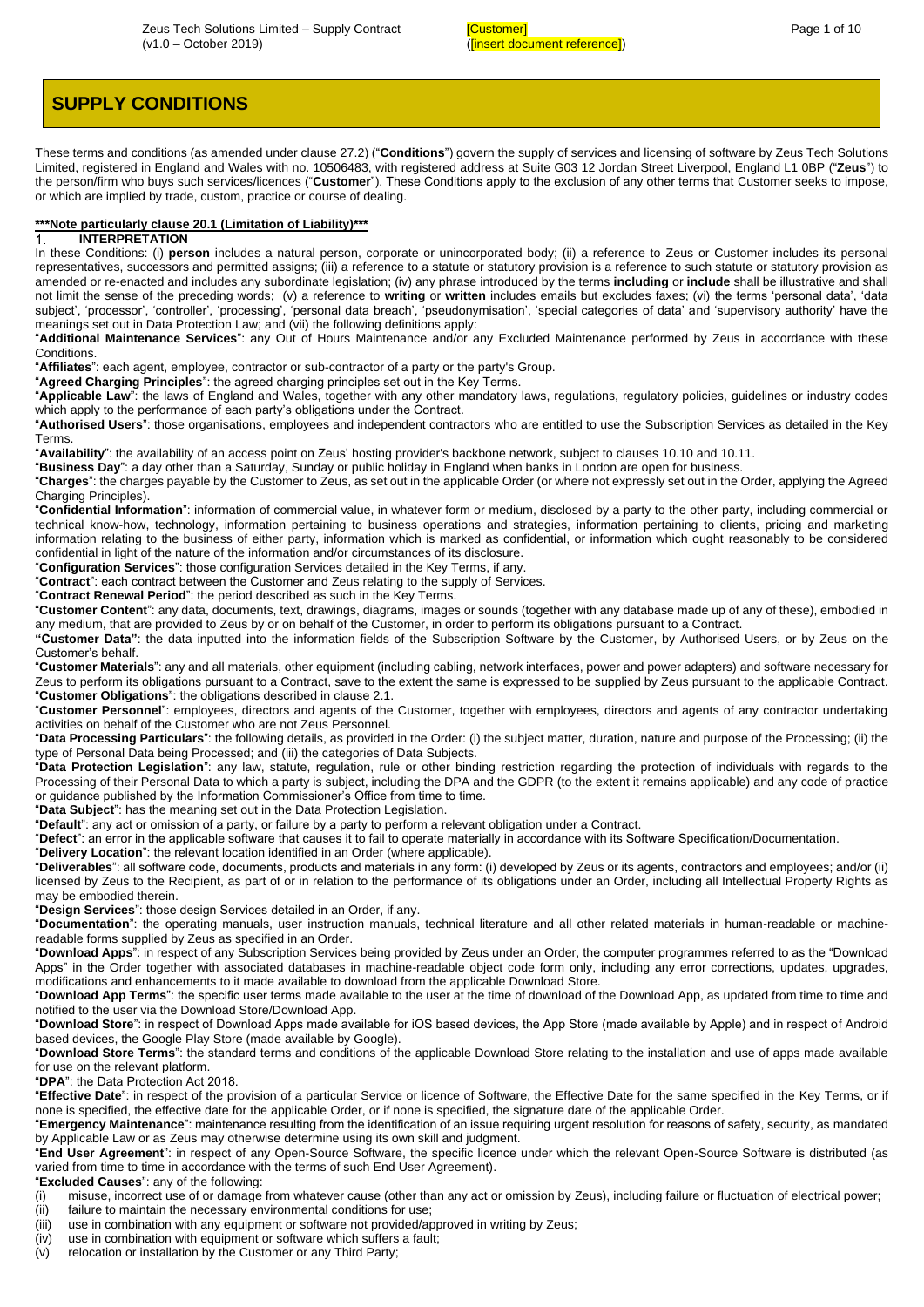# **SUPPLY CONDITIONS**

These terms and conditions (as amended under claus[e 27.2\)](#page-9-0) ("**Conditions**") govern the supply of services and licensing of software by Zeus Tech Solutions Limited, registered in England and Wales with no. 10506483, with registered address at Suite G03 12 Jordan Street Liverpool, England L1 0BP ("**Zeus**") to the person/firm who buys such services/licences ("**Customer**"). These Conditions apply to the exclusion of any other terms that Customer seeks to impose, or which are implied by trade, custom, practice or course of dealing.

# **\*\*\*Note particularly clause 20.1 (Limitation of Liability)\*\*\***

# **INTERPRETATION**

In these Conditions: (i) **person** includes a natural person, corporate or unincorporated body; (ii) a reference to Zeus or Customer includes its personal representatives, successors and permitted assigns; (iii) a reference to a statute or statutory provision is a reference to such statute or statutory provision as amended or re-enacted and includes any subordinate legislation; (iv) any phrase introduced by the terms **including** or **include** shall be illustrative and shall not limit the sense of the preceding words; (v) a reference to **writing** or **written** includes emails but excludes faxes; (vi) the terms 'personal data', 'data subject', 'processor', 'controller', 'processing', 'personal data breach', 'pseudonymisation', 'special categories of data' and 'supervisory authority' have the meanings set out in Data Protection Law; and (vii) the following definitions apply:

"**Additional Maintenance Services**": any Out of Hours Maintenance and/or any Excluded Maintenance performed by Zeus in accordance with these **Conditions** 

"**Affiliates**": each agent, employee, contractor or sub-contractor of a party or the party's Group.

"**Agreed Charging Principles**": the agreed charging principles set out in the Key Terms.

"**Applicable Law**": the laws of England and Wales, together with any other mandatory laws, regulations, regulatory policies, guidelines or industry codes which apply to the performance of each party's obligations under the Contract.

"**Authorised Users**": those organisations, employees and independent contractors who are entitled to use the Subscription Services as detailed in the Key Terms.

"**Availability**": the availability of an access point on Zeus' hosting provider's backbone network, subject to clause[s 10.10](#page-5-0) an[d 10.11.](#page-5-1)

"**Business Day**": a day other than a Saturday, Sunday or public holiday in England when banks in London are open for business.

"**Charges**": the charges payable by the Customer to Zeus, as set out in the applicable Order (or where not expressly set out in the Order, applying the Agreed Charging Principles).

"**Confidential Information**": information of commercial value, in whatever form or medium, disclosed by a party to the other party, including commercial or technical know-how, technology, information pertaining to business operations and strategies, information pertaining to clients, pricing and marketing information relating to the business of either party, information which is marked as confidential, or information which ought reasonably to be considered confidential in light of the nature of the information and/or circumstances of its disclosure.

"**Configuration Services**": those configuration Services detailed in the Key Terms, if any.

"**Contract**": each contract between the Customer and Zeus relating to the supply of Services.

"**Contract Renewal Period**": the period described as such in the Key Terms.

"**Customer Content**": any data, documents, text, drawings, diagrams, images or sounds (together with any database made up of any of these), embodied in any medium, that are provided to Zeus by or on behalf of the Customer, in order to perform its obligations pursuant to a Contract.

**"Customer Data"**: the data inputted into the information fields of the Subscription Software by the Customer, by Authorised Users, or by Zeus on the Customer's behalf.

"**Customer Materials**": any and all materials, other equipment (including cabling, network interfaces, power and power adapters) and software necessary for Zeus to perform its obligations pursuant to a Contract, save to the extent the same is expressed to be supplied by Zeus pursuant to the applicable Contract. "**Customer Obligations**": the obligations described in claus[e 2.1.](#page-2-0) 

"**Customer Personnel**": employees, directors and agents of the Customer, together with employees, directors and agents of any contractor undertaking activities on behalf of the Customer who are not Zeus Personnel.

"**Data Processing Particulars**": the following details, as provided in the Order: (i) the subject matter, duration, nature and purpose of the Processing; (ii) the type of Personal Data being Processed; and (iii) the categories of Data Subjects.

"**Data Protection Legislation**": any law, statute, regulation, rule or other binding restriction regarding the protection of individuals with regards to the Processing of their Personal Data to which a party is subject, including the DPA and the GDPR (to the extent it remains applicable) and any code of practice or guidance published by the Information Commissioner's Office from time to time.

"**Data Subject**": has the meaning set out in the Data Protection Legislation.

"**Default**": any act or omission of a party, or failure by a party to perform a relevant obligation under a Contract.

"**Defect**": an error in the applicable software that causes it to fail to operate materially in accordance with its Software Specification/Documentation.

"**Delivery Location**": the relevant location identified in an Order (where applicable).

"**Deliverables**": all software code, documents, products and materials in any form: (i) developed by Zeus or its agents, contractors and employees; and/or (ii) licensed by Zeus to the Recipient, as part of or in relation to the performance of its obligations under an Order, including all Intellectual Property Rights as may be embodied therein.

"**Design Services**": those design Services detailed in an Order, if any.

"**Documentation**": the operating manuals, user instruction manuals, technical literature and all other related materials in human-readable or machinereadable forms supplied by Zeus as specified in an Order.

"**Download Apps**": in respect of any Subscription Services being provided by Zeus under an Order, the computer programmes referred to as the "Download Apps" in the Order together with associated databases in machine-readable object code form only, including any error corrections, updates, upgrades, modifications and enhancements to it made available to download from the applicable Download Store.

"**Download App Terms**": the specific user terms made available to the user at the time of download of the Download App, as updated from time to time and notified to the user via the Download Store/Download App.

"**Download Store**": in respect of Download Apps made available for iOS based devices, the App Store (made available by Apple) and in respect of Android based devices, the Google Play Store (made available by Google).

"**Download Store Terms**": the standard terms and conditions of the applicable Download Store relating to the installation and use of apps made available for use on the relevant platform.

"**DPA**": the Data Protection Act 2018.

"**Effective Date**": in respect of the provision of a particular Service or licence of Software, the Effective Date for the same specified in the Key Terms, or if none is specified, the effective date for the applicable Order, or if none is specified, the signature date of the applicable Order.

"**Emergency Maintenance**": maintenance resulting from the identification of an issue requiring urgent resolution for reasons of safety, security, as mandated by Applicable Law or as Zeus may otherwise determine using its own skill and judgment.

"**End User Agreement**": in respect of any Open-Source Software, the specific licence under which the relevant Open-Source Software is distributed (as varied from time to time in accordance with the terms of such End User Agreement).

"**Excluded Causes**": any of the following:

- (i) misuse, incorrect use of or damage from whatever cause (other than any act or omission by Zeus), including failure or fluctuation of electrical power; (ii) failure to maintain the necessary environmental conditions for use;
- (iii) use in combination with any equipment or software not provided/approved in writing by Zeus;
- (iv) use in combination with equipment or software which suffers a fault;
- (v) relocation or installation by the Customer or any Third Party;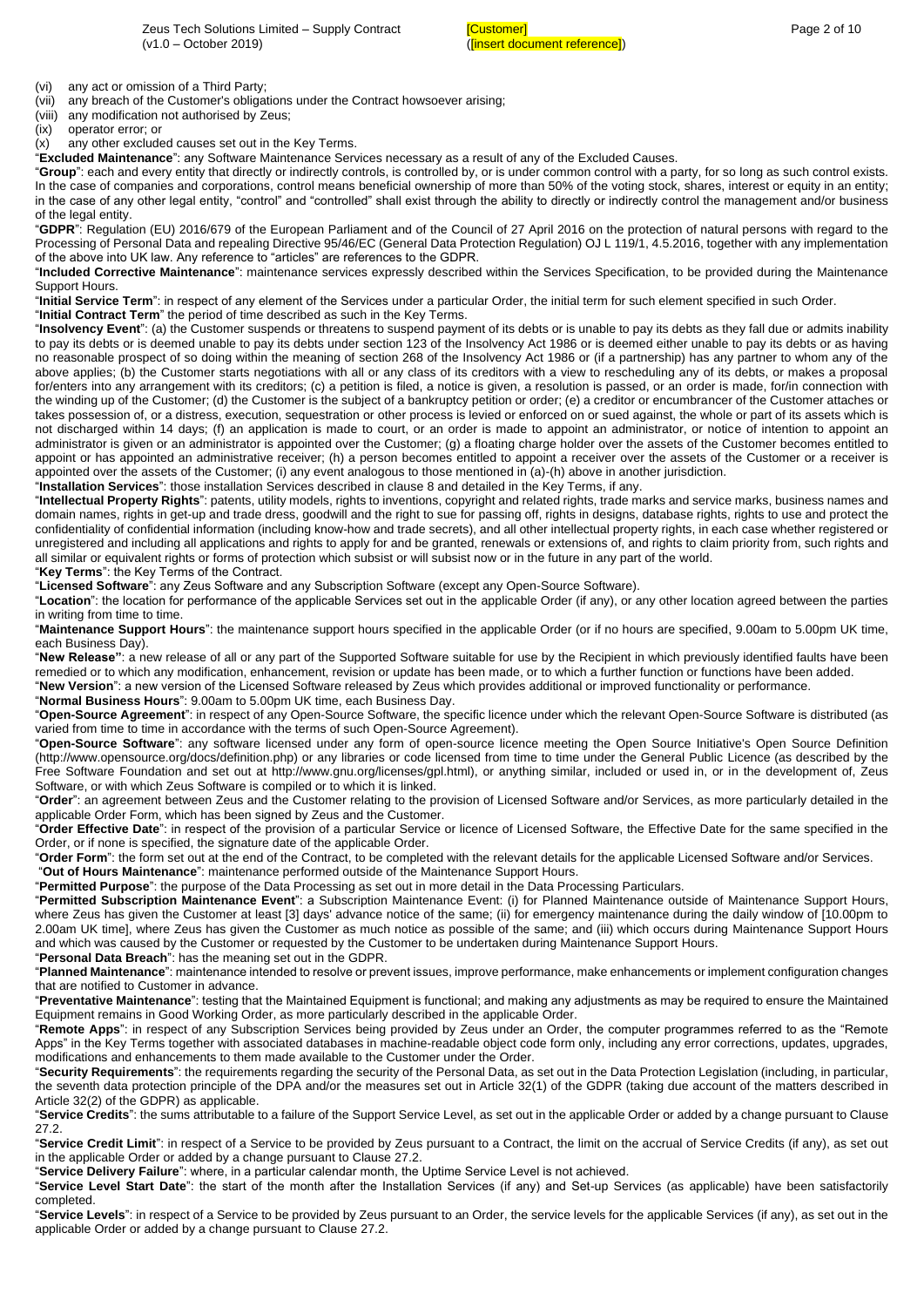(vi) any act or omission of a Third Party;

(vii) any breach of the Customer's obligations under the Contract howsoever arising;

(viii) any modification not authorised by Zeus;

(ix) operator error; or

(x) any other excluded causes set out in the Key Terms. "**Excluded Maintenance**": any Software Maintenance Services necessary as a result of any of the Excluded Causes.

"**Group**": each and every entity that directly or indirectly controls, is controlled by, or is under common control with a party, for so long as such control exists. In the case of companies and corporations, control means beneficial ownership of more than 50% of the voting stock, shares, interest or equity in an entity; in the case of any other legal entity, "control" and "controlled" shall exist through the ability to directly or indirectly control the management and/or business of the legal entity.

"**GDPR**": Regulation (EU) 2016/679 of the European Parliament and of the Council of 27 April 2016 on the protection of natural persons with regard to the Processing of Personal Data and repealing Directive 95/46/EC (General Data Protection Regulation) OJ L 119/1, 4.5.2016, together with any implementation of the above into UK law. Any reference to "articles" are references to the GDPR.

"**Included Corrective Maintenance**": maintenance services expressly described within the Services Specification, to be provided during the Maintenance Support Hours.

"**Initial Service Term**": in respect of any element of the Services under a particular Order, the initial term for such element specified in such Order.

"**Initial Contract Term**" the period of time described as such in the Key Terms.

"**Insolvency Event**": (a) the Customer suspends or threatens to suspend payment of its debts or is unable to pay its debts as they fall due or admits inability to pay its debts or is deemed unable to pay its debts under section 123 of the Insolvency Act 1986 or is deemed either unable to pay its debts or as having no reasonable prospect of so doing within the meaning of section 268 of the Insolvency Act 1986 or (if a partnership) has any partner to whom any of the above applies; (b) the Customer starts negotiations with all or any class of its creditors with a view to rescheduling any of its debts, or makes a proposal for/enters into any arrangement with its creditors; (c) a petition is filed, a notice is given, a resolution is passed, or an order is made, for/in connection with the winding up of the Customer; (d) the Customer is the subject of a bankruptcy petition or order; (e) a creditor or encumbrancer of the Customer attaches or takes possession of, or a distress, execution, sequestration or other process is levied or enforced on or sued against, the whole or part of its assets which is not discharged within 14 days; (f) an application is made to court, or an order is made to appoint an administrator, or notice of intention to appoint an administrator is given or an administrator is appointed over the Customer; (g) a floating charge holder over the assets of the Customer becomes entitled to appoint or has appointed an administrative receiver; (h) a person becomes entitled to appoint a receiver over the assets of the Customer or a receiver is appointed over the assets of the Customer; (i) any event analogous to those mentioned in (a)-(h) above in another jurisdiction.

"**Installation Services**": those installation Services described in claus[e 8](#page-3-0) and detailed in the Key Terms, if any.

"**Intellectual Property Rights**": patents, utility models, rights to inventions, copyright and related rights, trade marks and service marks, business names and domain names, rights in get-up and trade dress, goodwill and the right to sue for passing off, rights in designs, database rights, rights to use and protect the confidentiality of confidential information (including know-how and trade secrets), and all other intellectual property rights, in each case whether registered or unregistered and including all applications and rights to apply for and be granted, renewals or extensions of, and rights to claim priority from, such rights and all similar or equivalent rights or forms of protection which subsist or will subsist now or in the future in any part of the world.

"**Key Terms**": the Key Terms of the Contract.

"**Licensed Software**": any Zeus Software and any Subscription Software (except any Open-Source Software).

"**Location**": the location for performance of the applicable Services set out in the applicable Order (if any), or any other location agreed between the parties in writing from time to time.

"**Maintenance Support Hours**": the maintenance support hours specified in the applicable Order (or if no hours are specified, 9.00am to 5.00pm UK time, each Business Day).

"**New Release"**: a new release of all or any part of the Supported Software suitable for use by the Recipient in which previously identified faults have been remedied or to which any modification, enhancement, revision or update has been made, or to which a further function or functions have been added. "**New Version**": a new version of the Licensed Software released by Zeus which provides additional or improved functionality or performance.

"**Normal Business Hours**": 9.00am to 5.00pm UK time, each Business Day.

"**Open-Source Agreement**": in respect of any Open-Source Software, the specific licence under which the relevant Open-Source Software is distributed (as varied from time to time in accordance with the terms of such Open-Source Agreement).

"**Open-Source Software**": any software licensed under any form of open-source licence meeting the Open Source Initiative's Open Source Definition (http://www.opensource.org/docs/definition.php) or any libraries or code licensed from time to time under the General Public Licence (as described by the Free Software Foundation and set out at http://www.gnu.org/licenses/gpl.html), or anything similar, included or used in, or in the development of, Zeus Software, or with which Zeus Software is compiled or to which it is linked.

"**Order**": an agreement between Zeus and the Customer relating to the provision of Licensed Software and/or Services, as more particularly detailed in the applicable Order Form, which has been signed by Zeus and the Customer.

"**Order Effective Date**": in respect of the provision of a particular Service or licence of Licensed Software, the Effective Date for the same specified in the Order, or if none is specified, the signature date of the applicable Order.

"**Order Form**": the form set out at the end of the Contract, to be completed with the relevant details for the applicable Licensed Software and/or Services.

"**Out of Hours Maintenance**": maintenance performed outside of the Maintenance Support Hours.

"**Permitted Purpose**": the purpose of the Data Processing as set out in more detail in the Data Processing Particulars.

"**Permitted Subscription Maintenance Event**": a Subscription Maintenance Event: (i) for Planned Maintenance outside of Maintenance Support Hours, where Zeus has given the Customer at least [3] days' advance notice of the same; (ii) for emergency maintenance during the daily window of [10.00pm to 2.00am UK time], where Zeus has given the Customer as much notice as possible of the same; and (iii) which occurs during Maintenance Support Hours and which was caused by the Customer or requested by the Customer to be undertaken during Maintenance Support Hours. "**Personal Data Breach**": has the meaning set out in the GDPR.

"**Planned Maintenance**": maintenance intended to resolve or prevent issues, improve performance, make enhancements or implement configuration changes that are notified to Customer in advance.

"**Preventative Maintenance**": testing that the Maintained Equipment is functional; and making any adjustments as may be required to ensure the Maintained Equipment remains in Good Working Order, as more particularly described in the applicable Order.

"**Remote Apps**": in respect of any Subscription Services being provided by Zeus under an Order, the computer programmes referred to as the "Remote Apps" in the Key Terms together with associated databases in machine-readable object code form only, including any error corrections, updates, upgrades, modifications and enhancements to them made available to the Customer under the Order.

"**Security Requirements**": the requirements regarding the security of the Personal Data, as set out in the Data Protection Legislation (including, in particular, the seventh data protection principle of the DPA and/or the measures set out in Article 32(1) of the GDPR (taking due account of the matters described in Article 32(2) of the GDPR) as applicable.

"**Service Credits**": the sums attributable to a failure of the Support Service Level, as set out in the applicable Order or added by a change pursuant to Clause [27.2.](#page-9-0)

"**Service Credit Limit**": in respect of a Service to be provided by Zeus pursuant to a Contract, the limit on the accrual of Service Credits (if any), as set out in the applicable Order or added by a change pursuant to Claus[e 27.2.](#page-9-0)

"**Service Delivery Failure**": where, in a particular calendar month, the Uptime Service Level is not achieved.

"**Service Level Start Date**": the start of the month after the Installation Services (if any) and Set-up Services (as applicable) have been satisfactorily completed.

"**Service Levels**": in respect of a Service to be provided by Zeus pursuant to an Order, the service levels for the applicable Services (if any), as set out in the applicable Order or added by a change pursuant to Claus[e 27.2.](#page-9-0)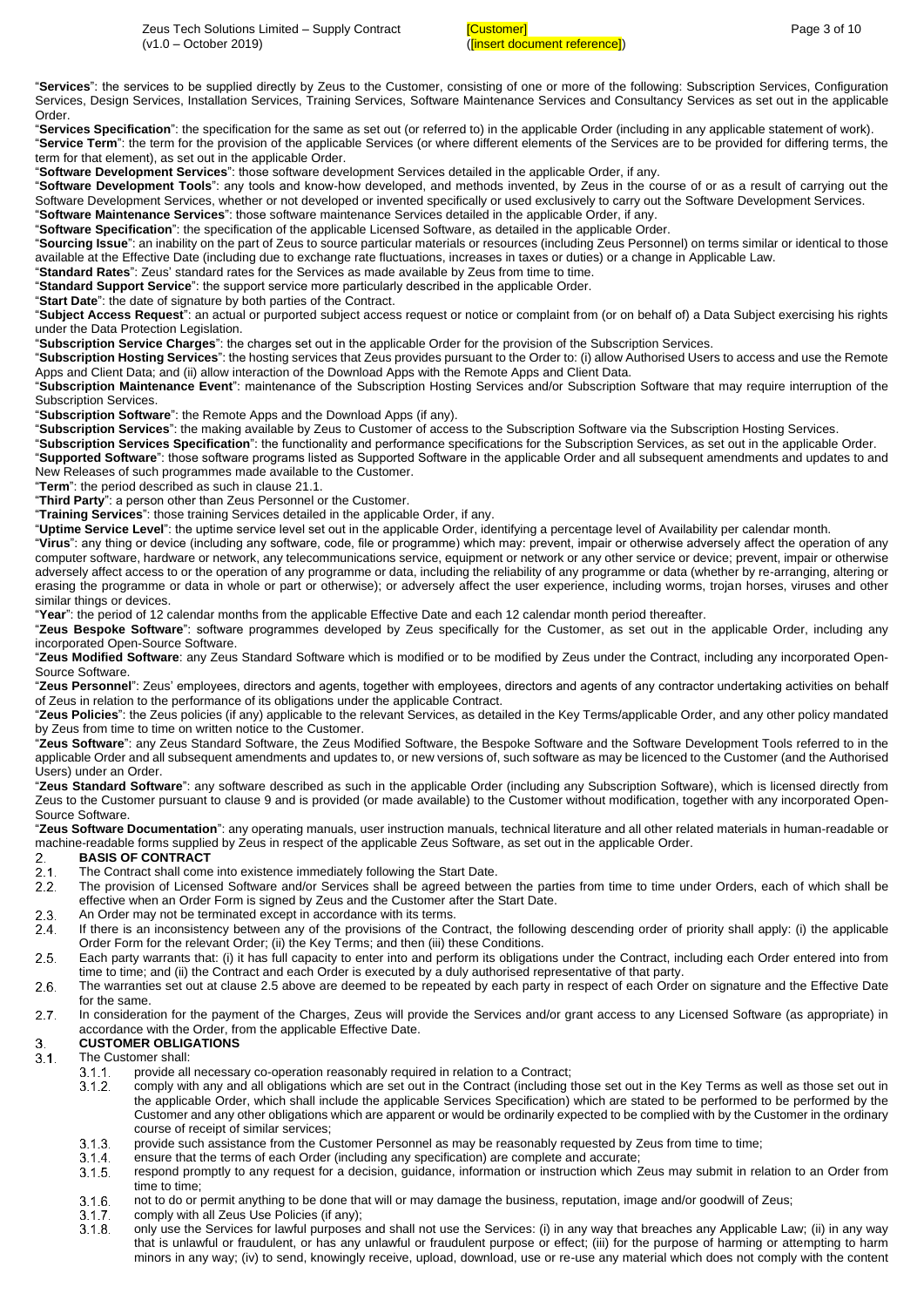"**Services**": the services to be supplied directly by Zeus to the Customer, consisting of one or more of the following: Subscription Services, Configuration Services, Design Services, Installation Services, Training Services, Software Maintenance Services and Consultancy Services as set out in the applicable Order.

"**Services Specification**": the specification for the same as set out (or referred to) in the applicable Order (including in any applicable statement of work). "**Service Term**": the term for the provision of the applicable Services (or where different elements of the Services are to be provided for differing terms, the term for that element), as set out in the applicable Order.

"**Software Development Services**": those software development Services detailed in the applicable Order, if any.

"**Software Development Tools**": any tools and know-how developed, and methods invented, by Zeus in the course of or as a result of carrying out the Software Development Services, whether or not developed or invented specifically or used exclusively to carry out the Software Development Services.

"**Software Maintenance Services**": those software maintenance Services detailed in the applicable Order, if any.

"**Software Specification**": the specification of the applicable Licensed Software, as detailed in the applicable Order. "**Sourcing Issue**": an inability on the part of Zeus to source particular materials or resources (including Zeus Personnel) on terms similar or identical to those

available at the Effective Date (including due to exchange rate fluctuations, increases in taxes or duties) or a change in Applicable Law.

"**Standard Rates**": Zeus' standard rates for the Services as made available by Zeus from time to time. "**Standard Support Service**": the support service more particularly described in the applicable Order.

"**Start Date**": the date of signature by both parties of the Contract.

"**Subject Access Request**": an actual or purported subject access request or notice or complaint from (or on behalf of) a Data Subject exercising his rights under the Data Protection Legislation.

"**Subscription Service Charges**": the charges set out in the applicable Order for the provision of the Subscription Services.

"**Subscription Hosting Services**": the hosting services that Zeus provides pursuant to the Order to: (i) allow Authorised Users to access and use the Remote Apps and Client Data; and (ii) allow interaction of the Download Apps with the Remote Apps and Client Data.

"**Subscription Maintenance Event**": maintenance of the Subscription Hosting Services and/or Subscription Software that may require interruption of the Subscription Services.

"**Subscription Software**": the Remote Apps and the Download Apps (if any).

"**Subscription Services**": the making available by Zeus to Customer of access to the Subscription Software via the Subscription Hosting Services.

"**Subscription Services Specification**": the functionality and performance specifications for the Subscription Services, as set out in the applicable Order.

"**Supported Software**": those software programs listed as Supported Software in the applicable Order and all subsequent amendments and updates to and New Releases of such programmes made available to the Customer.

"**Term**": the period described as such in claus[e 21.1.](#page-8-0)

"**Third Party**": a person other than Zeus Personnel or the Customer.

"**Training Services**": those training Services detailed in the applicable Order, if any.

"**Uptime Service Level**": the uptime service level set out in the applicable Order, identifying a percentage level of Availability per calendar month.

"**Virus**": any thing or device (including any software, code, file or programme) which may: prevent, impair or otherwise adversely affect the operation of any computer software, hardware or network, any telecommunications service, equipment or network or any other service or device; prevent, impair or otherwise adversely affect access to or the operation of any programme or data, including the reliability of any programme or data (whether by re-arranging, altering or erasing the programme or data in whole or part or otherwise); or adversely affect the user experience, including worms, trojan horses, viruses and other similar things or devices.

"**Year**": the period of 12 calendar months from the applicable Effective Date and each 12 calendar month period thereafter.

"**Zeus Bespoke Software**": software programmes developed by Zeus specifically for the Customer, as set out in the applicable Order, including any incorporated Open-Source Software.

"**Zeus Modified Software**: any Zeus Standard Software which is modified or to be modified by Zeus under the Contract, including any incorporated Open-Source Software.

"**Zeus Personnel**": Zeus' employees, directors and agents, together with employees, directors and agents of any contractor undertaking activities on behalf of Zeus in relation to the performance of its obligations under the applicable Contract.

"**Zeus Policies**": the Zeus policies (if any) applicable to the relevant Services, as detailed in the Key Terms/applicable Order, and any other policy mandated by Zeus from time to time on written notice to the Customer.

"**Zeus Software**": any Zeus Standard Software, the Zeus Modified Software, the Bespoke Software and the Software Development Tools referred to in the applicable Order and all subsequent amendments and updates to, or new versions of, such software as may be licenced to the Customer (and the Authorised Users) under an Order.

"**Zeus Standard Software**": any software described as such in the applicable Order (including any Subscription Software), which is licensed directly from Zeus to the Customer pursuant to claus[e 9](#page-4-0) and is provided (or made available) to the Customer without modification, together with any incorporated Open-Source Software.

"**Zeus Software Documentation**": any operating manuals, user instruction manuals, technical literature and all other related materials in human-readable or machine-readable forms supplied by Zeus in respect of the applicable Zeus Software, as set out in the applicable Order.<br>2. BASIS OF CONTRACT

# **BASIS OF CONTRACT**

- The Contract shall come into existence immediately following the Start Date.
- <span id="page-2-0"></span> $\frac{2.1}{2.2}$ The provision of Licensed Software and/or Services shall be agreed between the parties from time to time under Orders, each of which shall be effective when an Order Form is signed by Zeus and the Customer after the Start Date.
- $2.3.$ An Order may not be terminated except in accordance with its terms.
- $2.4.$ If there is an inconsistency between any of the provisions of the Contract, the following descending order of priority shall apply: (i) the applicable Order Form for the relevant Order; (ii) the Key Terms; and then (iii) these Conditions.
- <span id="page-2-1"></span> $2.5.$ Each party warrants that: (i) it has full capacity to enter into and perform its obligations under the Contract, including each Order entered into from time to time; and (ii) the Contract and each Order is executed by a duly authorised representative of that party.
- $2.6.$ The warranties set out at clause [2.5](#page-2-1) above are deemed to be repeated by each party in respect of each Order on signature and the Effective Date for the same.
- $2.7.$ In consideration for the payment of the Charges, Zeus will provide the Services and/or grant access to any Licensed Software (as appropriate) in accordance with the Order, from the applicable Effective Date.

# **CUSTOMER OBLIGATIONS** 3.

 $3.1$ The Customer shall:

- $3.1.1$ provide all necessary co-operation reasonably required in relation to a Contract;
- $31.2$ comply with any and all obligations which are set out in the Contract (including those set out in the Key Terms as well as those set out in the applicable Order, which shall include the applicable Services Specification) which are stated to be performed to be performed by the Customer and any other obligations which are apparent or would be ordinarily expected to be complied with by the Customer in the ordinary course of receipt of similar services;
- $3.1.3$ provide such assistance from the Customer Personnel as may be reasonably requested by Zeus from time to time;
- $3.1.4.$ ensure that the terms of each Order (including any specification) are complete and accurate;
- $3.1.5.$ respond promptly to any request for a decision, guidance, information or instruction which Zeus may submit in relation to an Order from time to time;
- not to do or permit anything to be done that will or may damage the business, reputation, image and/or goodwill of Zeus;  $3.1.6.$
- comply with all Zeus Use Policies (if any);  $3.1.7$
- $3.1.8.$ only use the Services for lawful purposes and shall not use the Services: (i) in any way that breaches any Applicable Law; (ii) in any way that is unlawful or fraudulent, or has any unlawful or fraudulent purpose or effect; (iii) for the purpose of harming or attempting to harm minors in any way; (iv) to send, knowingly receive, upload, download, use or re-use any material which does not comply with the content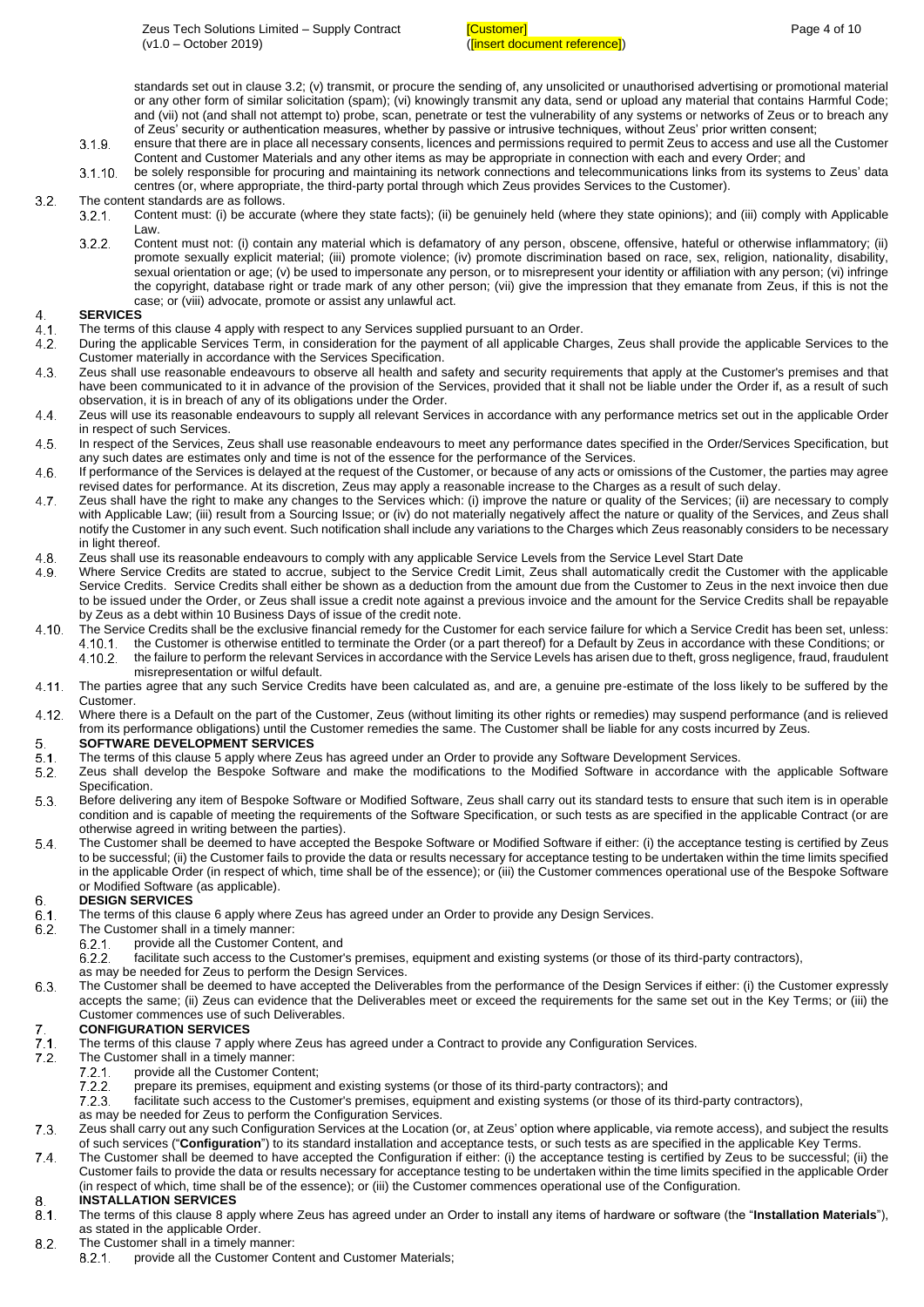standards set out in clause [3.2;](#page-3-1) (v) transmit, or procure the sending of, any unsolicited or unauthorised advertising or promotional material or any other form of similar solicitation (spam); (vi) knowingly transmit any data, send or upload any material that contains Harmful Code; and (vii) not (and shall not attempt to) probe, scan, penetrate or test the vulnerability of any systems or networks of Zeus or to breach any of Zeus' security or authentication measures, whether by passive or intrusive techniques, without Zeus' prior written consent;

- $3.1.9.$ ensure that there are in place all necessary consents, licences and permissions required to permit Zeus to access and use all the Customer Content and Customer Materials and any other items as may be appropriate in connection with each and every Order; and
- $3.1.10$ be solely responsible for procuring and maintaining its network connections and telecommunications links from its systems to Zeus' data centres (or, where appropriate, the third-party portal through which Zeus provides Services to the Customer).

#### <span id="page-3-1"></span> $3.2.$ The content standards are as follows.

- $3.2.1.$ Content must: (i) be accurate (where they state facts); (ii) be genuinely held (where they state opinions); and (iii) comply with Applicable Law.
	- $3.2.2.$ Content must not: (i) contain any material which is defamatory of any person, obscene, offensive, hateful or otherwise inflammatory; (ii) promote sexually explicit material; (iii) promote violence; (iv) promote discrimination based on race, sex, religion, nationality, disability, sexual orientation or age; (v) be used to impersonate any person, or to misrepresent your identity or affiliation with any person; (vi) infringe the copyright, database right or trade mark of any other person; (vii) give the impression that they emanate from Zeus, if this is not the case; or (viii) advocate, promote or assist any unlawful act.

#### <span id="page-3-2"></span> $\overline{4}$ **SERVICES**

- $4.1.$ The terms of this clause [4](#page-3-2) apply with respect to any Services supplied pursuant to an Order.
- During the applicable Services Term, in consideration for the payment of all applicable Charges, Zeus shall provide the applicable Services to the  $42.$ Customer materially in accordance with the Services Specification.
- Zeus shall use reasonable endeavours to observe all health and safety and security requirements that apply at the Customer's premises and that  $4.3$ have been communicated to it in advance of the provision of the Services, provided that it shall not be liable under the Order if, as a result of such observation, it is in breach of any of its obligations under the Order.
- 44 Zeus will use its reasonable endeavours to supply all relevant Services in accordance with any performance metrics set out in the applicable Order in respect of such Services.
- $4.5.$ In respect of the Services, Zeus shall use reasonable endeavours to meet any performance dates specified in the Order/Services Specification, but any such dates are estimates only and time is not of the essence for the performance of the Services.
- 4.6. If performance of the Services is delayed at the request of the Customer, or because of any acts or omissions of the Customer, the parties may agree revised dates for performance. At its discretion, Zeus may apply a reasonable increase to the Charges as a result of such delay.
- $4.7$ Zeus shall have the right to make any changes to the Services which: (i) improve the nature or quality of the Services; (ii) are necessary to comply with Applicable Law; (iii) result from a Sourcing Issue; or (iv) do not materially negatively affect the nature or quality of the Services, and Zeus shall notify the Customer in any such event. Such notification shall include any variations to the Charges which Zeus reasonably considers to be necessary in light thereof.
- 4.8 Zeus shall use its reasonable endeavours to comply with any applicable Service Levels from the Service Level Start Date
- Where Service Credits are stated to accrue, subject to the Service Credit Limit, Zeus shall automatically credit the Customer with the applicable 49 Service Credits. Service Credits shall either be shown as a deduction from the amount due from the Customer to Zeus in the next invoice then due to be issued under the Order, or Zeus shall issue a credit note against a previous invoice and the amount for the Service Credits shall be repayable by Zeus as a debt within 10 Business Days of issue of the credit note.
- $4.10.$ The Service Credits shall be the exclusive financial remedy for the Customer for each service failure for which a Service Credit has been set, unless: 4.10.1 the Customer is otherwise entitled to terminate the Order (or a part thereof) for a Default by Zeus in accordance with these Conditions; or  $4.10.2.$ the failure to perform the relevant Services in accordance with the Service Levels has arisen due to theft, gross negligence, fraud, fraudulent misrepresentation or wilful default.
- $4.11.$ The parties agree that any such Service Credits have been calculated as, and are, a genuine pre-estimate of the loss likely to be suffered by the Customer.
- $4.12.$ Where there is a Default on the part of the Customer, Zeus (without limiting its other rights or remedies) may suspend performance (and is relieved from its performance obligations) until the Customer remedies the same. The Customer shall be liable for any costs incurred by Zeus.

# <span id="page-3-3"></span>5. **SOFTWARE DEVELOPMENT SERVICES**

- The terms of this clause [5](#page-3-3) apply where Zeus has agreed under an Order to provide any Software Development Services.  $5.1$
- $5.2$ Zeus shall develop the Bespoke Software and make the modifications to the Modified Software in accordance with the applicable Software Specification.
- $5.3$ Before delivering any item of Bespoke Software or Modified Software, Zeus shall carry out its standard tests to ensure that such item is in operable condition and is capable of meeting the requirements of the Software Specification, or such tests as are specified in the applicable Contract (or are otherwise agreed in writing between the parties).
- $5.4$ The Customer shall be deemed to have accepted the Bespoke Software or Modified Software if either: (i) the acceptance testing is certified by Zeus to be successful; (ii) the Customer fails to provide the data or results necessary for acceptance testing to be undertaken within the time limits specified in the applicable Order (in respect of which, time shall be of the essence); or (iii) the Customer commences operational use of the Bespoke Software or Modified Software (as applicable).

#### <span id="page-3-4"></span>6. **DESIGN SERVICES**

- $6.1$ The terms of this clause [6](#page-3-4) apply where Zeus has agreed under an Order to provide any Design Services.
- $6.2$ The Customer shall in a timely manner:
	- provide all the Customer Content, and  $6.2.1.$
	- $6.2.2$ facilitate such access to the Customer's premises, equipment and existing systems (or those of its third-party contractors),
	- as may be needed for Zeus to perform the Design Services.
- $6.3$ The Customer shall be deemed to have accepted the Deliverables from the performance of the Design Services if either: (i) the Customer expressly accepts the same; (ii) Zeus can evidence that the Deliverables meet or exceed the requirements for the same set out in the Key Terms; or (iii) the Customer commences use of such Deliverables.

### <span id="page-3-5"></span>**CONFIGURATION SERVICES** 7.

- $\frac{7}{7}$   $\frac{1}{2}$ The terms of this clause [7](#page-3-5) apply where Zeus has agreed under a Contract to provide any Configuration Services.
	- The Customer shall in a timely manner:
	- $7.2.1.$ provide all the Customer Content;
		- prepare its premises, equipment and existing systems (or those of its third-party contractors); and 7.2.2
		- facilitate such access to the Customer's premises, equipment and existing systems (or those of its third-party contractors),  $7.2.3.$
	- as may be needed for Zeus to perform the Configuration Services.
- $7.3.$ Zeus shall carry out any such Configuration Services at the Location (or, at Zeus' option where applicable, via remote access), and subject the results of such services ("**Configuration**") to its standard installation and acceptance tests, or such tests as are specified in the applicable Key Terms.
- 74 The Customer shall be deemed to have accepted the Configuration if either: (i) the acceptance testing is certified by Zeus to be successful; (ii) the Customer fails to provide the data or results necessary for acceptance testing to be undertaken within the time limits specified in the applicable Order (in respect of which, time shall be of the essence); or (iii) the Customer commences operational use of the Configuration.

### <span id="page-3-0"></span>8. **INSTALLATION SERVICES**

- $8.1$ The terms of this clause [8](#page-3-0) apply where Zeus has agreed under an Order to install any items of hardware or software (the "**Installation Materials**"), as stated in the applicable Order.
- $8.2$ The Customer shall in a timely manner:
	- $8.2.1.$ provide all the Customer Content and Customer Materials;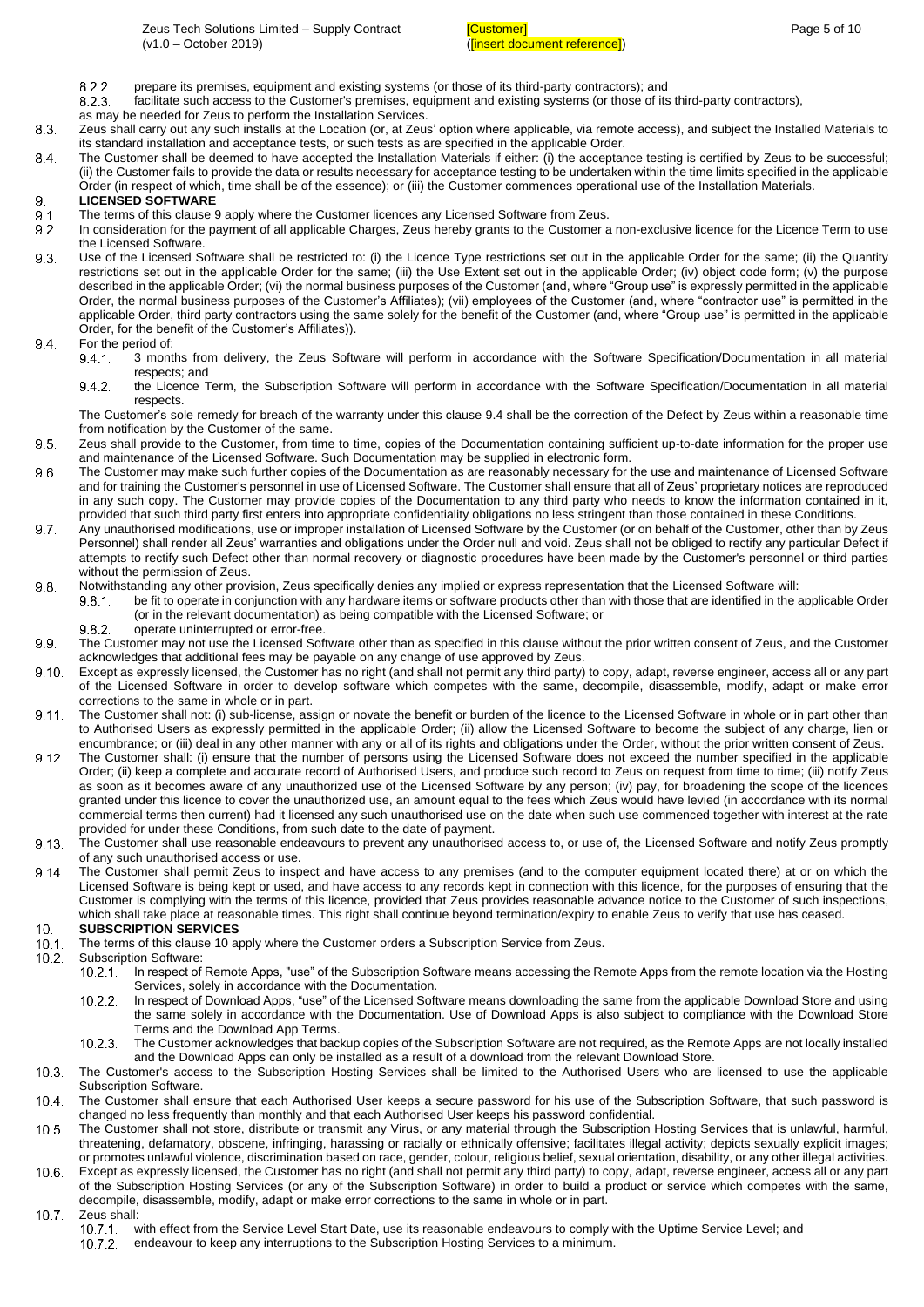- $8.2.2.$ prepare its premises, equipment and existing systems (or those of its third-party contractors); and
- $8.2.3.$ facilitate such access to the Customer's premises, equipment and existing systems (or those of its third-party contractors),
- as may be needed for Zeus to perform the Installation Services.
- Zeus shall carry out any such installs at the Location (or, at Zeus' option where applicable, via remote access), and subject the Installed Materials to 8.3 its standard installation and acceptance tests, or such tests as are specified in the applicable Order.
- 8.4 The Customer shall be deemed to have accepted the Installation Materials if either: (i) the acceptance testing is certified by Zeus to be successful; (ii) the Customer fails to provide the data or results necessary for acceptance testing to be undertaken within the time limits specified in the applicable Order (in respect of which, time shall be of the essence); or (iii) the Customer commences operational use of the Installation Materials.

### <span id="page-4-0"></span>9. **LICENSED SOFTWARE**

- $91$ The terms of this clause [9](#page-4-0) apply where the Customer licences any Licensed Software from Zeus.
- $9.2.$ In consideration for the payment of all applicable Charges, Zeus hereby grants to the Customer a non-exclusive licence for the Licence Term to use the Licensed Software.
- $9.3$ Use of the Licensed Software shall be restricted to: (i) the Licence Type restrictions set out in the applicable Order for the same; (ii) the Quantity restrictions set out in the applicable Order for the same; (iii) the Use Extent set out in the applicable Order; (iv) object code form; (v) the purpose described in the applicable Order; (vi) the normal business purposes of the Customer (and, where "Group use" is expressly permitted in the applicable Order, the normal business purposes of the Customer's Affiliates); (vii) employees of the Customer (and, where "contractor use" is permitted in the applicable Order, third party contractors using the same solely for the benefit of the Customer (and, where "Group use" is permitted in the applicable Order, for the benefit of the Customer's Affiliates)).
- <span id="page-4-1"></span>For the period of:<br>9.4.1. 3 mont 94.
	- 3 months from delivery, the Zeus Software will perform in accordance with the Software Specification/Documentation in all material respects; and
	- $9.4.2.$ the Licence Term, the Subscription Software will perform in accordance with the Software Specification/Documentation in all material respects.

The Customer's sole remedy for breach of the warranty under this clause [9.4](#page-4-1) shall be the correction of the Defect by Zeus within a reasonable time from notification by the Customer of the same.

- $9.5.$ Zeus shall provide to the Customer, from time to time, copies of the Documentation containing sufficient up-to-date information for the proper use and maintenance of the Licensed Software. Such Documentation may be supplied in electronic form.
- 96 The Customer may make such further copies of the Documentation as are reasonably necessary for the use and maintenance of Licensed Software and for training the Customer's personnel in use of Licensed Software. The Customer shall ensure that all of Zeus' proprietary notices are reproduced in any such copy. The Customer may provide copies of the Documentation to any third party who needs to know the information contained in it, provided that such third party first enters into appropriate confidentiality obligations no less stringent than those contained in these Conditions.
- 9.7 Any unauthorised modifications, use or improper installation of Licensed Software by the Customer (or on behalf of the Customer, other than by Zeus Personnel) shall render all Zeus' warranties and obligations under the Order null and void. Zeus shall not be obliged to rectify any particular Defect if attempts to rectify such Defect other than normal recovery or diagnostic procedures have been made by the Customer's personnel or third parties without the permission of Zeus.
- 98 Notwithstanding any other provision, Zeus specifically denies any implied or express representation that the Licensed Software will:

be fit to operate in conjunction with any hardware items or software products other than with those that are identified in the applicable Order  $9.8.1.$ (or in the relevant documentation) as being compatible with the Licensed Software; or

- operate uninterrupted or error-free. 982
- 9.9 The Customer may not use the Licensed Software other than as specified in this clause without the prior written consent of Zeus, and the Customer acknowledges that additional fees may be payable on any change of use approved by Zeus.
- $9.10 -$ Except as expressly licensed, the Customer has no right (and shall not permit any third party) to copy, adapt, reverse engineer, access all or any part of the Licensed Software in order to develop software which competes with the same, decompile, disassemble, modify, adapt or make error corrections to the same in whole or in part.
- $9.11.$ The Customer shall not: (i) sub-license, assign or novate the benefit or burden of the licence to the Licensed Software in whole or in part other than to Authorised Users as expressly permitted in the applicable Order; (ii) allow the Licensed Software to become the subject of any charge, lien or encumbrance; or (iii) deal in any other manner with any or all of its rights and obligations under the Order, without the prior written consent of Zeus.
- $9.12.$ The Customer shall: (i) ensure that the number of persons using the Licensed Software does not exceed the number specified in the applicable Order; (ii) keep a complete and accurate record of Authorised Users, and produce such record to Zeus on request from time to time; (iii) notify Zeus as soon as it becomes aware of any unauthorized use of the Licensed Software by any person; (iv) pay, for broadening the scope of the licences granted under this licence to cover the unauthorized use, an amount equal to the fees which Zeus would have levied (in accordance with its normal commercial terms then current) had it licensed any such unauthorised use on the date when such use commenced together with interest at the rate provided for under these Conditions, from such date to the date of payment.
- $9.13.$ The Customer shall use reasonable endeavours to prevent any unauthorised access to, or use of, the Licensed Software and notify Zeus promptly of any such unauthorised access or use.
- The Customer shall permit Zeus to inspect and have access to any premises (and to the computer equipment located there) at or on which the  $9.14$ Licensed Software is being kept or used, and have access to any records kept in connection with this licence, for the purposes of ensuring that the Customer is complying with the terms of this licence, provided that Zeus provides reasonable advance notice to the Customer of such inspections, which shall take place at reasonable times. This right shall continue beyond termination/expiry to enable Zeus to verify that use has ceased. **SUBSCRIPTION SERVICES**  $10<sub>1</sub>$
- <span id="page-4-2"></span> $10.1$ . The terms of this clause [10](#page-4-2) apply where the Customer orders a Subscription Service from Zeus.
- $10.2$ Subscription Software:
	- In respect of Remote Apps, "use" of the Subscription Software means accessing the Remote Apps from the remote location via the Hosting  $10.2.1.$ Services, solely in accordance with the Documentation.
		- $10.2.2.$ In respect of Download Apps, "use" of the Licensed Software means downloading the same from the applicable Download Store and using the same solely in accordance with the Documentation. Use of Download Apps is also subject to compliance with the Download Store Terms and the Download App Terms.
	- The Customer acknowledges that backup copies of the Subscription Software are not required, as the Remote Apps are not locally installed  $10.2.3$ and the Download Apps can only be installed as a result of a download from the relevant Download Store.
- The Customer's access to the Subscription Hosting Services shall be limited to the Authorised Users who are licensed to use the applicable  $10.3$ Subscription Software.
- The Customer shall ensure that each Authorised User keeps a secure password for his use of the Subscription Software, that such password is  $10.4$ changed no less frequently than monthly and that each Authorised User keeps his password confidential.
- $10.5.$ The Customer shall not store, distribute or transmit any Virus, or any material through the Subscription Hosting Services that is unlawful, harmful, threatening, defamatory, obscene, infringing, harassing or racially or ethnically offensive; facilitates illegal activity; depicts sexually explicit images; or promotes unlawful violence, discrimination based on race, gender, colour, religious belief, sexual orientation, disability, or any other illegal activities.
- $10<sub>6</sub>$ Except as expressly licensed, the Customer has no right (and shall not permit any third party) to copy, adapt, reverse engineer, access all or any part of the Subscription Hosting Services (or any of the Subscription Software) in order to build a product or service which competes with the same, decompile, disassemble, modify, adapt or make error corrections to the same in whole or in part.
- $10.7$ Zeus shall:<br>10.7.1. v
	- with effect from the Service Level Start Date, use its reasonable endeavours to comply with the Uptime Service Level; and  $10.7.2$ endeavour to keep any interruptions to the Subscription Hosting Services to a minimum.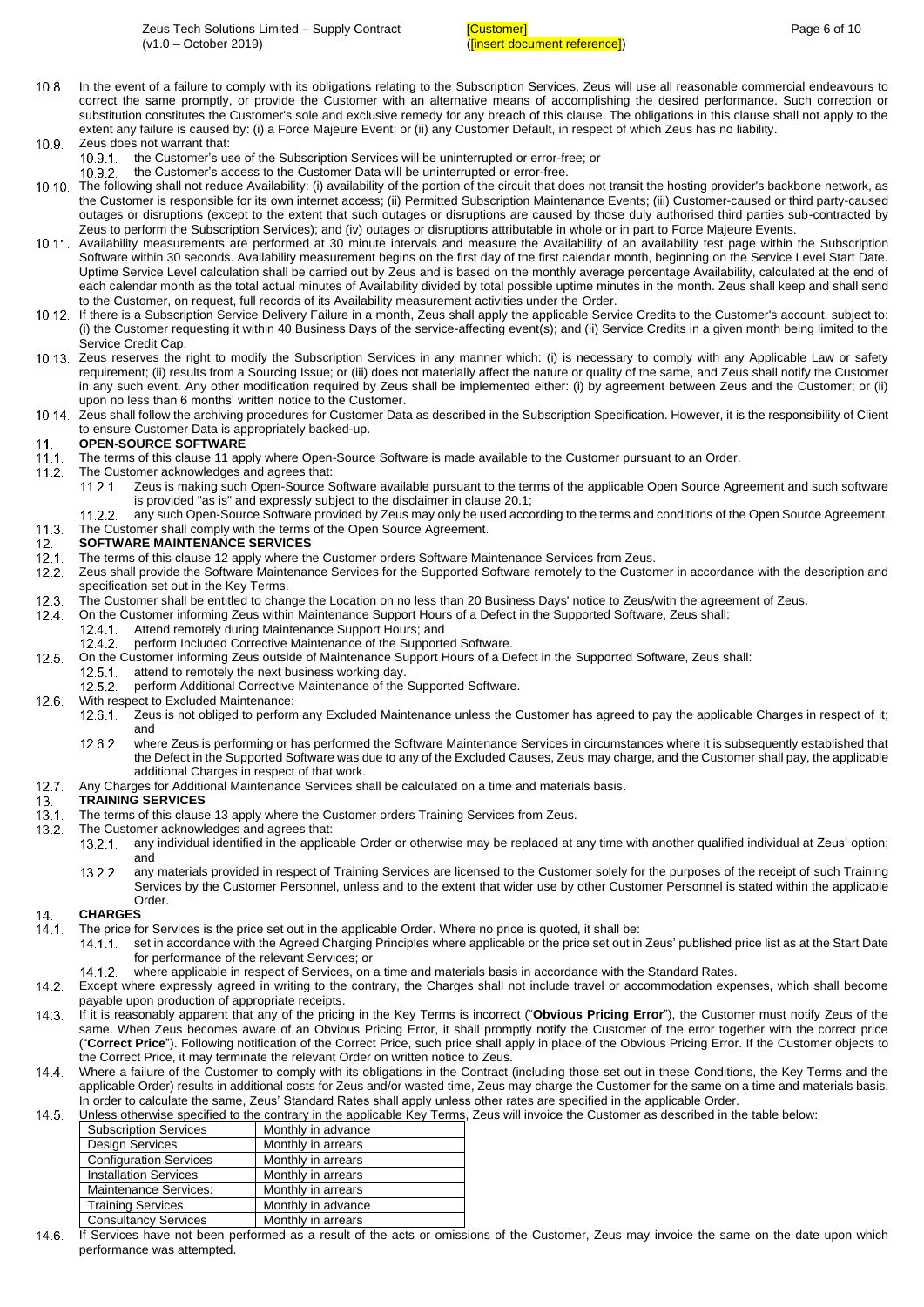- $10.8$ In the event of a failure to comply with its obligations relating to the Subscription Services, Zeus will use all reasonable commercial endeavours to correct the same promptly, or provide the Customer with an alternative means of accomplishing the desired performance. Such correction or substitution constitutes the Customer's sole and exclusive remedy for any breach of this clause. The obligations in this clause shall not apply to the extent any failure is caused by: (i) a Force Majeure Event; or (ii) any Customer Default, in respect of which Zeus has no liability.  $10.9 -$ 
	- Zeus does not warrant that:<br>10.9.1 the Customer's us the Customer's use of the Subscription Services will be uninterrupted or error-free; or
	- the Customer's access to the Customer Data will be uninterrupted or error-free.  $10.9.2$
- <span id="page-5-0"></span>10.10. The following shall not reduce Availability: (i) availability of the portion of the circuit that does not transit the hosting provider's backbone network, as the Customer is responsible for its own internet access; (ii) Permitted Subscription Maintenance Events; (iii) Customer-caused or third party-caused outages or disruptions (except to the extent that such outages or disruptions are caused by those duly authorised third parties sub-contracted by Zeus to perform the Subscription Services); and (iv) outages or disruptions attributable in whole or in part to Force Majeure Events.
- <span id="page-5-1"></span>10.11. Availability measurements are performed at 30 minute intervals and measure the Availability of an availability test page within the Subscription Software within 30 seconds. Availability measurement begins on the first day of the first calendar month, beginning on the Service Level Start Date. Uptime Service Level calculation shall be carried out by Zeus and is based on the monthly average percentage Availability, calculated at the end of each calendar month as the total actual minutes of Availability divided by total possible uptime minutes in the month. Zeus shall keep and shall send to the Customer, on request, full records of its Availability measurement activities under the Order.
- 10.12. If there is a Subscription Service Delivery Failure in a month, Zeus shall apply the applicable Service Credits to the Customer's account, subject to: (i) the Customer requesting it within 40 Business Days of the service-affecting event(s); and (ii) Service Credits in a given month being limited to the Service Credit Cap.
- 10.13. Zeus reserves the right to modify the Subscription Services in any manner which: (i) is necessary to comply with any Applicable Law or safety requirement; (ii) results from a Sourcing Issue; or (iii) does not materially affect the nature or quality of the same, and Zeus shall notify the Customer in any such event. Any other modification required by Zeus shall be implemented either: (i) by agreement between Zeus and the Customer; or (ii) upon no less than 6 months' written notice to the Customer.
- Zeus shall follow the archiving procedures for Customer Data as described in the Subscription Specification. However, it is the responsibility of Client to ensure Customer Data is appropriately backed-up.

#### <span id="page-5-2"></span> $11<sub>1</sub>$ **OPEN-SOURCE SOFTWARE**

- $11.1 -$ The terms of this clause [11](#page-5-2) apply where Open-Source Software is made available to the Customer pursuant to an Order.
- $11.2.$ The Customer acknowledges and agrees that:
	- $11.2.1$ Zeus is making such Open-Source Software available pursuant to the terms of the applicable Open Source Agreement and such software is provided "as is" and expressly subject to the disclaimer in clause [20.1;](#page-7-0)
	- $11.2.2$ any such Open-Source Software provided by Zeus may only be used according to the terms and conditions of the Open Source Agreement.
- $11.3$ The Customer shall comply with the terms of the Open Source Agreement.

#### <span id="page-5-3"></span> $12<sub>1</sub>$ **SOFTWARE MAINTENANCE SERVICES**

- $12.1$ The terms of this clause [12](#page-5-3) apply where the Customer orders Software Maintenance Services from Zeus.
- Zeus shall provide the Software Maintenance Services for the Supported Software remotely to the Customer in accordance with the description and  $12.2$ specification set out in the Key Terms.
- $12.3.$ The Customer shall be entitled to change the Location on no less than 20 Business Days' notice to Zeus/with the agreement of Zeus.
- $124$ On the Customer informing Zeus within Maintenance Support Hours of a Defect in the Supported Software, Zeus shall:
	- Attend remotely during Maintenance Support Hours; and  $12.4.1$
	- $12.4.2$ perform Included Corrective Maintenance of the Supported Software.
- $12.5$ On the Customer informing Zeus outside of Maintenance Support Hours of a Defect in the Supported Software, Zeus shall:
- $12.5.1$ attend to remotely the next business working day.
	- perform Additional Corrective Maintenance of the Supported Software.  $12.5.2.$
- $12.6$ With respect to Excluded Maintenance:
	- $12.6.1$ Zeus is not obliged to perform any Excluded Maintenance unless the Customer has agreed to pay the applicable Charges in respect of it; and
	- $12.6.2$ where Zeus is performing or has performed the Software Maintenance Services in circumstances where it is subsequently established that the Defect in the Supported Software was due to any of the Excluded Causes, Zeus may charge, and the Customer shall pay, the applicable additional Charges in respect of that work.
- 12.7. Any Charges for Additional Maintenance Services shall be calculated on a time and materials basis.

#### <span id="page-5-4"></span>**TRAINING SERVICES**  $13<sub>1</sub>$

- $13.1 -$ The terms of this clause [13](#page-5-4) apply where the Customer orders Training Services from Zeus.
- $13.2$ The Customer acknowledges and agrees that:
	- $13.2.1$ any individual identified in the applicable Order or otherwise may be replaced at any time with another qualified individual at Zeus' option; and
	- any materials provided in respect of Training Services are licensed to the Customer solely for the purposes of the receipt of such Training  $13.2.2$ Services by the Customer Personnel, unless and to the extent that wider use by other Customer Personnel is stated within the applicable Order.

#### $14$ **CHARGES**

- The price for Services is the price set out in the applicable Order. Where no price is quoted, it shall be:  $14.1$ 
	- set in accordance with the Agreed Charging Principles where applicable or the price set out in Zeus' published price list as at the Start Date  $14.1.1$ for performance of the relevant Services; or
		- where applicable in respect of Services, on a time and materials basis in accordance with the Standard Rates.
- Except where expressly agreed in writing to the contrary, the Charges shall not include travel or accommodation expenses, which shall become payable upon production of appropriate receipts.
- <span id="page-5-5"></span> $14.3$ If it is reasonably apparent that any of the pricing in the Key Terms is incorrect ("**Obvious Pricing Error**"), the Customer must notify Zeus of the same. When Zeus becomes aware of an Obvious Pricing Error, it shall promptly notify the Customer of the error together with the correct price ("**Correct Price**"). Following notification of the Correct Price, such price shall apply in place of the Obvious Pricing Error. If the Customer objects to the Correct Price, it may terminate the relevant Order on written notice to Zeus.
- $144$ Where a failure of the Customer to comply with its obligations in the Contract (including those set out in these Conditions, the Key Terms and the applicable Order) results in additional costs for Zeus and/or wasted time, Zeus may charge the Customer for the same on a time and materials basis. In order to calculate the same, Zeus' Standard Rates shall apply unless other rates are specified in the applicable Order.
- $14.5$ Unless otherwise specified to the contrary in the applicable Key Terms, Zeus will invoice the Customer as described in the table below:

| <b>Subscription Services</b>  | Monthly in advance |
|-------------------------------|--------------------|
| <b>Design Services</b>        | Monthly in arrears |
| <b>Configuration Services</b> | Monthly in arrears |
| <b>Installation Services</b>  | Monthly in arrears |
| Maintenance Services:         | Monthly in arrears |
| <b>Training Services</b>      | Monthly in advance |
| <b>Consultancy Services</b>   | Monthly in arrears |
|                               |                    |

14.6. If Services have not been performed as a result of the acts or omissions of the Customer, Zeus may invoice the same on the date upon which performance was attempted.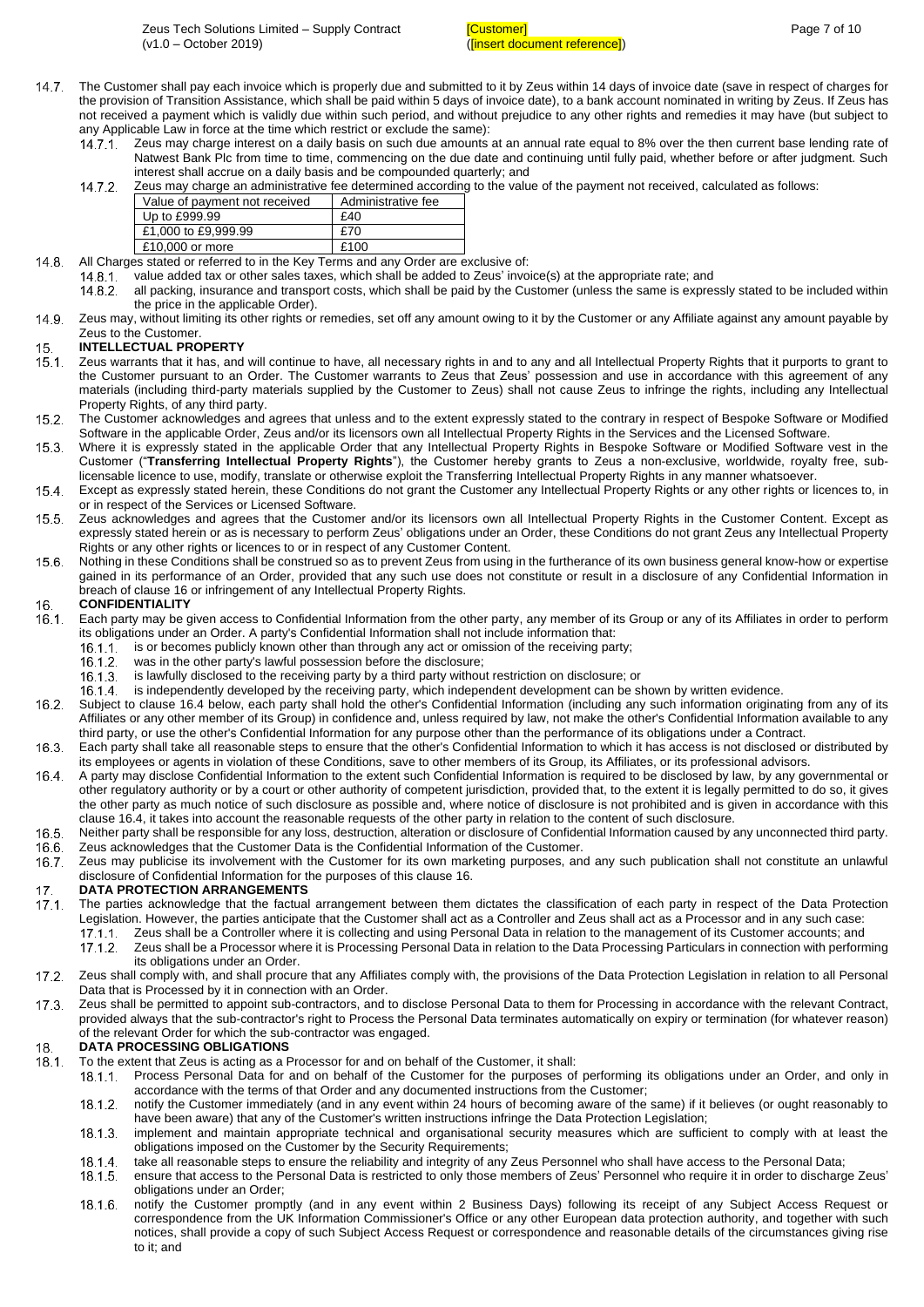- 14.7. The Customer shall pay each invoice which is properly due and submitted to it by Zeus within 14 days of invoice date (save in respect of charges for the provision of Transition Assistance, which shall be paid within 5 days of invoice date), to a bank account nominated in writing by Zeus. If Zeus has not received a payment which is validly due within such period, and without prejudice to any other rights and remedies it may have (but subject to any Applicable Law in force at the time which restrict or exclude the same):
	- $14.7.1$ Zeus may charge interest on a daily basis on such due amounts at an annual rate equal to 8% over the then current base lending rate of Natwest Bank Plc from time to time, commencing on the due date and continuing until fully paid, whether before or after judgment. Such interest shall accrue on a daily basis and be compounded quarterly; and 14.7

|  |  | Zeus may charge an administrative fee determined according to the value of the payment not received, calculated as follows: |
|--|--|-----------------------------------------------------------------------------------------------------------------------------|
|  |  |                                                                                                                             |

| -- |                               |                    |  |  |  |
|----|-------------------------------|--------------------|--|--|--|
|    | Value of payment not received | Administrative fee |  |  |  |
|    | Up to £999.99                 | £40                |  |  |  |
|    | £1,000 to £9,999.99           | £70                |  |  |  |
|    | £10,000 or more               | £100               |  |  |  |

- $14.8$ All Charges stated or referred to in the Key Terms and any Order are exclusive of:
	- $14.8.1$ value added tax or other sales taxes, which shall be added to Zeus' invoice(s) at the appropriate rate; and
	- $14.8.2.$ all packing, insurance and transport costs, which shall be paid by the Customer (unless the same is expressly stated to be included within the price in the applicable Order).
- $14.9$ Zeus may, without limiting its other rights or remedies, set off any amount owing to it by the Customer or any Affiliate against any amount payable by Zeus to the Customer.

#### 15. **INTELLECTUAL PROPERTY**

- $15.1 -$ Zeus warrants that it has, and will continue to have, all necessary rights in and to any and all Intellectual Property Rights that it purports to grant to the Customer pursuant to an Order. The Customer warrants to Zeus that Zeus' possession and use in accordance with this agreement of any materials (including third-party materials supplied by the Customer to Zeus) shall not cause Zeus to infringe the rights, including any Intellectual Property Rights, of any third party.
- $15.2.$ The Customer acknowledges and agrees that unless and to the extent expressly stated to the contrary in respect of Bespoke Software or Modified Software in the applicable Order, Zeus and/or its licensors own all Intellectual Property Rights in the Services and the Licensed Software.
- $15.3$ Where it is expressly stated in the applicable Order that any Intellectual Property Rights in Bespoke Software or Modified Software vest in the Customer ("**Transferring Intellectual Property Rights**"), the Customer hereby grants to Zeus a non-exclusive, worldwide, royalty free, sublicensable licence to use, modify, translate or otherwise exploit the Transferring Intellectual Property Rights in any manner whatsoever.
- Except as expressly stated herein, these Conditions do not grant the Customer any Intellectual Property Rights or any other rights or licences to, in or in respect of the Services or Licensed Software.
- $15.5 -$ Zeus acknowledges and agrees that the Customer and/or its licensors own all Intellectual Property Rights in the Customer Content. Except as expressly stated herein or as is necessary to perform Zeus' obligations under an Order, these Conditions do not grant Zeus any Intellectual Property Rights or any other rights or licences to or in respect of any Customer Content.
- $15.6$ Nothing in these Conditions shall be construed so as to prevent Zeus from using in the furtherance of its own business general know-how or expertise gained in its performance of an Order, provided that any such use does not constitute or result in a disclosure of any Confidential Information in breach of clause [16](#page-6-0) or infringement of any Intellectual Property Rights.

#### <span id="page-6-0"></span>16. **CONFIDENTIALITY**

- $16.1.$ Each party may be given access to Confidential Information from the other party, any member of its Group or any of its Affiliates in order to perform its obligations under an Order. A party's Confidential Information shall not include information that:
	- $16.1.1.$ is or becomes publicly known other than through any act or omission of the receiving party;
		- was in the other party's lawful possession before the disclosure; 16.1.2
		- $16.1.3.$ is lawfully disclosed to the receiving party by a third party without restriction on disclosure; or
	- is independently developed by the receiving party, which independent development can be shown by written evidence.  $16.1.4$
- $16.2.$ Subject to clause [16.4](#page-6-1) below, each party shall hold the other's Confidential Information (including any such information originating from any of its Affiliates or any other member of its Group) in confidence and, unless required by law, not make the other's Confidential Information available to any third party, or use the other's Confidential Information for any purpose other than the performance of its obligations under a Contract.
- $16.3.$ Each party shall take all reasonable steps to ensure that the other's Confidential Information to which it has access is not disclosed or distributed by its employees or agents in violation of these Conditions, save to other members of its Group, its Affiliates, or its professional advisors.
- <span id="page-6-1"></span>A party may disclose Confidential Information to the extent such Confidential Information is required to be disclosed by law, by any governmental or other regulatory authority or by a court or other authority of competent jurisdiction, provided that, to the extent it is legally permitted to do so, it gives the other party as much notice of such disclosure as possible and, where notice of disclosure is not prohibited and is given in accordance with this claus[e 16.4,](#page-6-1) it takes into account the reasonable requests of the other party in relation to the content of such disclosure.
- $16.5$ Neither party shall be responsible for any loss, destruction, alteration or disclosure of Confidential Information caused by any unconnected third party. Zeus acknowledges that the Customer Data is the Confidential Information of the Customer.  $166$
- $16.7.$ Zeus may publicise its involvement with the Customer for its own marketing purposes, and any such publication shall not constitute an unlawful disclosure of Confidential Information for the purposes of this clause [16.](#page-6-0)

# $\frac{17}{17}$  1. **DATA PROTECTION ARRANGEMENTS**

- The parties acknowledge that the factual arrangement between them dictates the classification of each party in respect of the Data Protection Legislation. However, the parties anticipate that the Customer shall act as a Controller and Zeus shall act as a Processor and in any such case:
	- $17.1.1$ Zeus shall be a Controller where it is collecting and using Personal Data in relation to the management of its Customer accounts; and
	- $17.1.2$ Zeus shall be a Processor where it is Processing Personal Data in relation to the Data Processing Particulars in connection with performing its obligations under an Order.
- Zeus shall comply with, and shall procure that any Affiliates comply with, the provisions of the Data Protection Legislation in relation to all Personal  $17.2.$ Data that is Processed by it in connection with an Order.
- $17.3$ Zeus shall be permitted to appoint sub-contractors, and to disclose Personal Data to them for Processing in accordance with the relevant Contract, provided always that the sub-contractor's right to Process the Personal Data terminates automatically on expiry or termination (for whatever reason) of the relevant Order for which the sub-contractor was engaged.

### **DATA PROCESSING OBLIGATIONS** 18

- $18.1.$ To the extent that Zeus is acting as a Processor for and on behalf of the Customer, it shall:
	- Process Personal Data for and on behalf of the Customer for the purposes of performing its obligations under an Order, and only in  $18.1.1$ accordance with the terms of that Order and any documented instructions from the Customer;
	- $18.1.2.$ notify the Customer immediately (and in any event within 24 hours of becoming aware of the same) if it believes (or ought reasonably to have been aware) that any of the Customer's written instructions infringe the Data Protection Legislation;
	- implement and maintain appropriate technical and organisational security measures which are sufficient to comply with at least the  $18.1.3.$ obligations imposed on the Customer by the Security Requirements;
	- 18.1.4 take all reasonable steps to ensure the reliability and integrity of any Zeus Personnel who shall have access to the Personal Data;
	- ensure that access to the Personal Data is restricted to only those members of Zeus' Personnel who require it in order to discharge Zeus'  $18.1.5.$ obligations under an Order;
	- 18.1.6 notify the Customer promptly (and in any event within 2 Business Days) following its receipt of any Subject Access Request or correspondence from the UK Information Commissioner's Office or any other European data protection authority, and together with such notices, shall provide a copy of such Subject Access Request or correspondence and reasonable details of the circumstances giving rise to it; and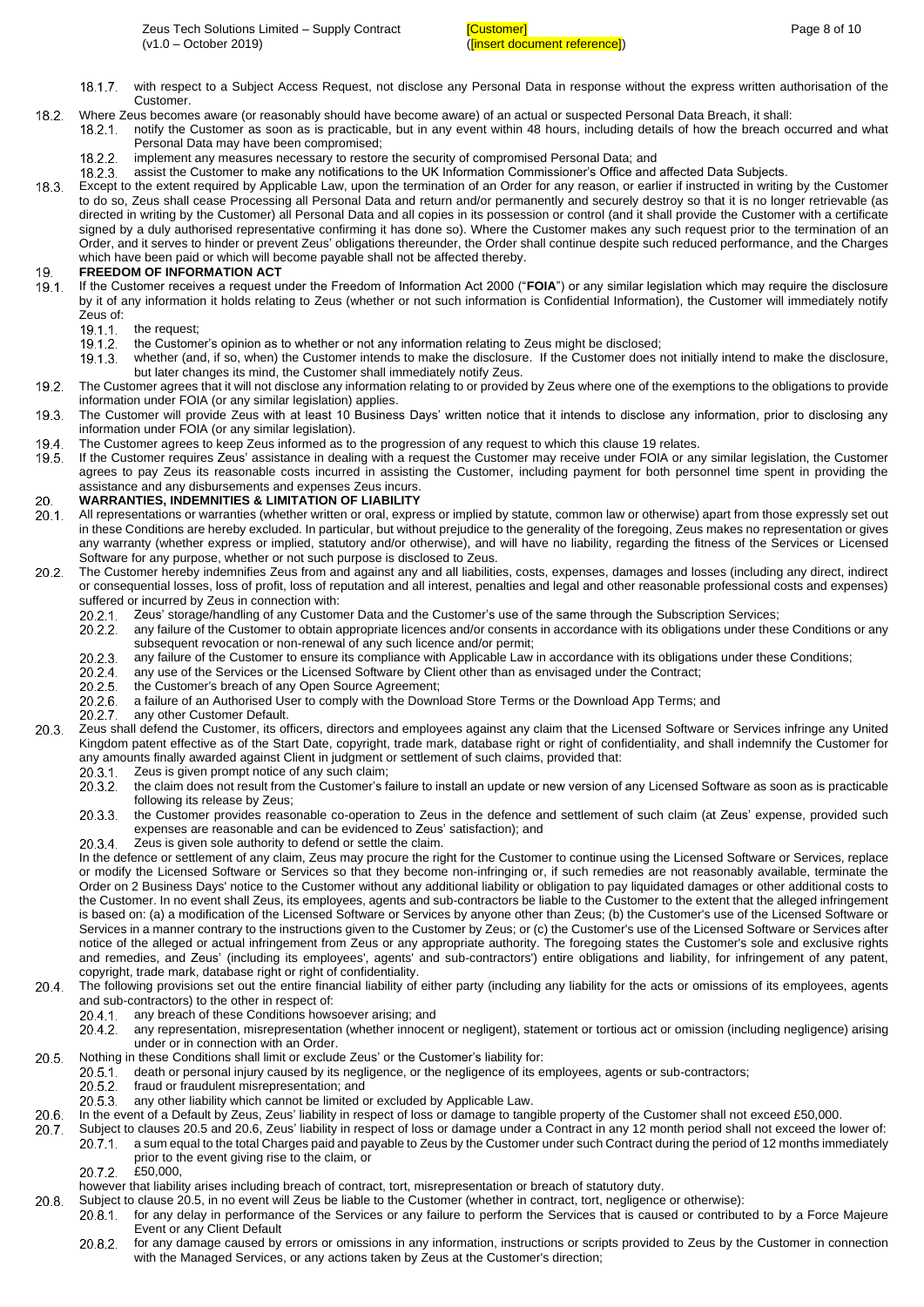- $18.1.7.$ with respect to a Subject Access Request, not disclose any Personal Data in response without the express written authorisation of the Customer.
- 18.2 Where Zeus becomes aware (or reasonably should have become aware) of an actual or suspected Personal Data Breach, it shall:
	- notify the Customer as soon as is practicable, but in any event within 48 hours, including details of how the breach occurred and what  $18.2.1$ Personal Data may have been compromised;
		- implement any measures necessary to restore the security of compromised Personal Data; and 1822
	- 18 2 3 assist the Customer to make any notifications to the UK Information Commissioner's Office and affected Data Subjects.
- Except to the extent required by Applicable Law, upon the termination of an Order for any reason, or earlier if instructed in writing by the Customer to do so, Zeus shall cease Processing all Personal Data and return and/or permanently and securely destroy so that it is no longer retrievable (as directed in writing by the Customer) all Personal Data and all copies in its possession or control (and it shall provide the Customer with a certificate signed by a duly authorised representative confirming it has done so). Where the Customer makes any such request prior to the termination of an Order, and it serves to hinder or prevent Zeus' obligations thereunder, the Order shall continue despite such reduced performance, and the Charges which have been paid or which will become payable shall not be affected thereby.

#### <span id="page-7-1"></span>10 **FREEDOM OF INFORMATION ACT**

- If the Customer receives a request under the Freedom of Information Act 2000 ("**FOIA**") or any similar legislation which may require the disclosure  $19.1$ by it of any information it holds relating to Zeus (whether or not such information is Confidential Information), the Customer will immediately notify Zeus of:
	- $19.1.1$ the request;
	- the Customer's opinion as to whether or not any information relating to Zeus might be disclosed;  $19.1.2.$
	- 19.1.3. whether (and, if so, when) the Customer intends to make the disclosure. If the Customer does not initially intend to make the disclosure, but later changes its mind, the Customer shall immediately notify Zeus.
- $19.2.$ The Customer agrees that it will not disclose any information relating to or provided by Zeus where one of the exemptions to the obligations to provide information under FOIA (or any similar legislation) applies.
- $19.3.$ The Customer will provide Zeus with at least 10 Business Days' written notice that it intends to disclose any information, prior to disclosing any information under FOIA (or any similar legislation).
- 19.4. The Customer agrees to keep Zeus informed as to the progression of any request to which this clause [19](#page-7-1) relates.
- $19.5.$ If the Customer requires Zeus' assistance in dealing with a request the Customer may receive under FOIA or any similar legislation, the Customer agrees to pay Zeus its reasonable costs incurred in assisting the Customer, including payment for both personnel time spent in providing the assistance and any disbursements and expenses Zeus incurs.

#### 20. **WARRANTIES, INDEMNITIES & LIMITATION OF LIABILITY**

- <span id="page-7-0"></span> $20.1.$ All representations or warranties (whether written or oral, express or implied by statute, common law or otherwise) apart from those expressly set out in these Conditions are hereby excluded. In particular, but without prejudice to the generality of the foregoing, Zeus makes no representation or gives any warranty (whether express or implied, statutory and/or otherwise), and will have no liability, regarding the fitness of the Services or Licensed Software for any purpose, whether or not such purpose is disclosed to Zeus.
- $20.2.$ The Customer hereby indemnifies Zeus from and against any and all liabilities, costs, expenses, damages and losses (including any direct, indirect or consequential losses, loss of profit, loss of reputation and all interest, penalties and legal and other reasonable professional costs and expenses) suffered or incurred by Zeus in connection with:
	- Zeus' storage/handling of any Customer Data and the Customer's use of the same through the Subscription Services;  $20.2.1$
	- any failure of the Customer to obtain appropriate licences and/or consents in accordance with its obligations under these Conditions or any  $20.2.2$ subsequent revocation or non-renewal of any such licence and/or permit;
	- 20.2.3 any failure of the Customer to ensure its compliance with Applicable Law in accordance with its obligations under these Conditions;
	- any use of the Services or the Licensed Software by Client other than as envisaged under the Contract; 20.2.4
	- 20.2.5 the Customer's breach of any Open Source Agreement;
	- 20.2.6 a failure of an Authorised User to comply with the Download Store Terms or the Download App Terms; and
	- $20.2.7$ any other Customer Default.
- $20.3$ Zeus shall defend the Customer, its officers, directors and employees against any claim that the Licensed Software or Services infringe any United Kingdom patent effective as of the Start Date, copyright, trade mark, database right or right of confidentiality, and shall indemnify the Customer for any amounts finally awarded against Client in judgment or settlement of such claims, provided that:
	- $20.3.1$ Zeus is given prompt notice of any such claim:
	- the claim does not result from the Customer's failure to install an update or new version of any Licensed Software as soon as is practicable 20.3.2 following its release by Zeus;
	- 20.3.3 the Customer provides reasonable co-operation to Zeus in the defence and settlement of such claim (at Zeus' expense, provided such expenses are reasonable and can be evidenced to Zeus' satisfaction); and
	- 20.3.4 Zeus is given sole authority to defend or settle the claim.

In the defence or settlement of any claim, Zeus may procure the right for the Customer to continue using the Licensed Software or Services, replace or modify the Licensed Software or Services so that they become non-infringing or, if such remedies are not reasonably available, terminate the Order on 2 Business Days' notice to the Customer without any additional liability or obligation to pay liquidated damages or other additional costs to the Customer. In no event shall Zeus, its employees, agents and sub-contractors be liable to the Customer to the extent that the alleged infringement is based on: (a) a modification of the Licensed Software or Services by anyone other than Zeus; (b) the Customer's use of the Licensed Software or Services in a manner contrary to the instructions given to the Customer by Zeus; or (c) the Customer's use of the Licensed Software or Services after notice of the alleged or actual infringement from Zeus or any appropriate authority. The foregoing states the Customer's sole and exclusive rights and remedies, and Zeus' (including its employees', agents' and sub-contractors') entire obligations and liability, for infringement of any patent, copyright, trade mark, database right or right of confidentiality.

- 20.4. The following provisions set out the entire financial liability of either party (including any liability for the acts or omissions of its employees, agents and sub-contractors) to the other in respect of:
	- 20.4.1 any breach of these Conditions howsoever arising; and
	- any representation, misrepresentation (whether innocent or negligent), statement or tortious act or omission (including negligence) arising 20.4.2 under or in connection with an Order.
- <span id="page-7-2"></span> $20.5.$ 
	- Nothing in these Conditions shall limit or exclude Zeus' or the Customer's liability for:<br>20.5.1. death or personal injury caused by its negligence, or the negligence of its e death or personal injury caused by its negligence, or the negligence of its employees, agents or sub-contractors;
		- fraud or fraudulent misrepresentation; and  $20.5.2$
		- any other liability which cannot be limited or excluded by Applicable Law. 20.5.3.
- <span id="page-7-3"></span> $20.6$ In the event of a Default by Zeus, Zeus' liability in respect of loss or damage to tangible property of the Customer shall not exceed £50,000.
- $20.7.$ Subject to clauses [20.5](#page-7-2) an[d 20.6,](#page-7-3) Zeus' liability in respect of loss or damage under a Contract in any 12 month period shall not exceed the lower of: a sum equal to the total Charges paid and payable to Zeus by the Customer under such Contract during the period of 12 months immediately 207.1 prior to the event giving rise to the claim, or
	- $2072$ £50,000
	- however that liability arises including breach of contract, tort, misrepresentation or breach of statutory duty.
- $20.8.$ Subject to clause [20.5,](#page-7-2) in no event will Zeus be liable to the Customer (whether in contract, tort, negligence or otherwise):
	- for any delay in performance of the Services or any failure to perform the Services that is caused or contributed to by a Force Majeure  $20.8.1$ Event or any Client Default
		- for any damage caused by errors or omissions in any information, instructions or scripts provided to Zeus by the Customer in connection 20.8.2 with the Managed Services, or any actions taken by Zeus at the Customer's direction;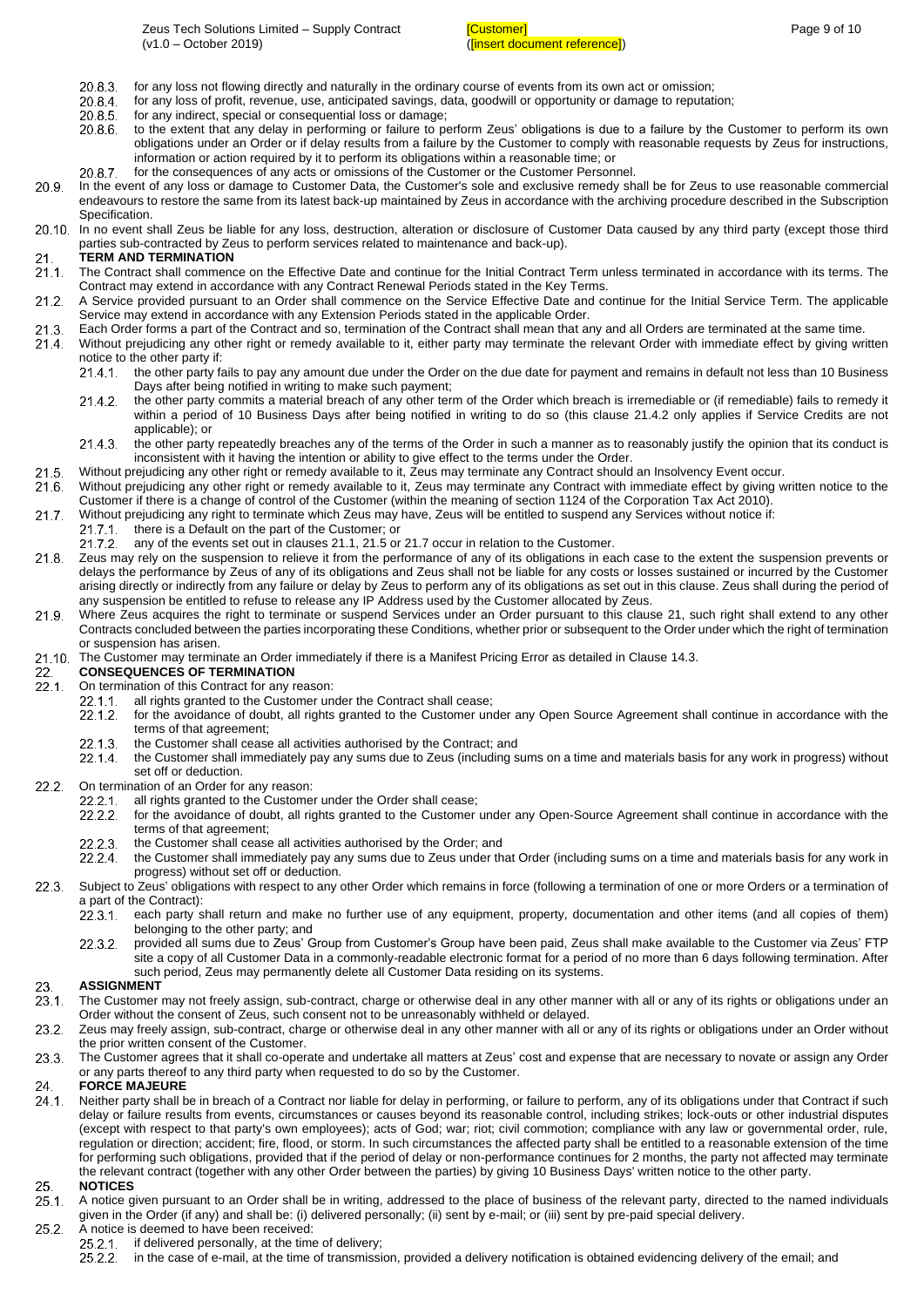- 20.8.3 for any loss not flowing directly and naturally in the ordinary course of events from its own act or omission;
- 20.8.4 for any loss of profit, revenue, use, anticipated savings, data, goodwill or opportunity or damage to reputation;
- 20.8.5 for any indirect, special or consequential loss or damage;
- to the extent that any delay in performing or failure to perform Zeus' obligations is due to a failure by the Customer to perform its own 20.8.6 obligations under an Order or if delay results from a failure by the Customer to comply with reasonable requests by Zeus for instructions, information or action required by it to perform its obligations within a reasonable time; or
- 2087 for the consequences of any acts or omissions of the Customer or the Customer Personnel.
- $20.9.$ In the event of any loss or damage to Customer Data, the Customer's sole and exclusive remedy shall be for Zeus to use reasonable commercial endeavours to restore the same from its latest back-up maintained by Zeus in accordance with the archiving procedure described in the Subscription Specification.
- 20.10. In no event shall Zeus be liable for any loss, destruction, alteration or disclosure of Customer Data caused by any third party (except those third parties sub-contracted by Zeus to perform services related to maintenance and back-up).

#### <span id="page-8-4"></span> $21$ **TERM AND TERMINATION**

- <span id="page-8-0"></span>21.1. The Contract shall commence on the Effective Date and continue for the Initial Contract Term unless terminated in accordance with its terms. The Contract may extend in accordance with any Contract Renewal Periods stated in the Key Terms.
- A Service provided pursuant to an Order shall commence on the Service Effective Date and continue for the Initial Service Term. The applicable Service may extend in accordance with any Extension Periods stated in the applicable Order.
- $21.3.$ Each Order forms a part of the Contract and so, termination of the Contract shall mean that any and all Orders are terminated at the same time.
- <span id="page-8-1"></span>Without prejudicing any other right or remedy available to it, either party may terminate the relevant Order with immediate effect by giving written 21.4
	- notice to the other party if:
		- the other party fails to pay any amount due under the Order on the due date for payment and remains in default not less than 10 Business  $21.4.1$ Days after being notified in writing to make such payment;
		- the other party commits a material breach of any other term of the Order which breach is irremediable or (if remediable) fails to remedy it 21.4.2 within a period of 10 Business Days after being notified in writing to do so (this clause [21.4.2](#page-8-1) only applies if Service Credits are not applicable); or
		- the other party repeatedly breaches any of the terms of the Order in such a manner as to reasonably justify the opinion that its conduct is 21.4.3. inconsistent with it having the intention or ability to give effect to the terms under the Order.
- <span id="page-8-2"></span> $21 -$ Without prejudicing any other right or remedy available to it, Zeus may terminate any Contract should an Insolvency Event occur.
- $21.6$ Without prejudicing any other right or remedy available to it, Zeus may terminate any Contract with immediate effect by giving written notice to the Customer if there is a change of control of the Customer (within the meaning of section 1124 of the Corporation Tax Act 2010).
- <span id="page-8-3"></span> $21.7.$ Without prejudicing any right to terminate which Zeus may have, Zeus will be entitled to suspend any Services without notice if:
- there is a Default on the part of the Customer; or  $21.7.1$
- $21.7.2$ any of the events set out in clauses [21.1,](#page-8-0) [21.5](#page-8-2) or [21.7](#page-8-3) occur in relation to the Customer.
- Zeus may rely on the suspension to relieve it from the performance of any of its obligations in each case to the extent the suspension prevents or  $21.8.$ delays the performance by Zeus of any of its obligations and Zeus shall not be liable for any costs or losses sustained or incurred by the Customer arising directly or indirectly from any failure or delay by Zeus to perform any of its obligations as set out in this clause. Zeus shall during the period of any suspension be entitled to refuse to release any IP Address used by the Customer allocated by Zeus.
- Where Zeus acquires the right to terminate or suspend Services under an Order pursuant to this clause [21,](#page-8-4) such right shall extend to any other  $21.9.$ Contracts concluded between the parties incorporating these Conditions, whether prior or subsequent to the Order under which the right of termination or suspension has arisen.
- 21.10. The Customer may terminate an Order immediately if there is a Manifest Pricing Error as detailed in Claus[e 14.3.](#page-5-5)
- 22 **CONSEQUENCES OF TERMINATION**
- On termination of this Contract for any reason:  $22.1.$ 
	- $22.1.1$ all rights granted to the Customer under the Contract shall cease;
	- $22.1.2$ for the avoidance of doubt, all rights granted to the Customer under any Open Source Agreement shall continue in accordance with the terms of that agreement;
	- $22.1.3$ the Customer shall cease all activities authorised by the Contract; and
	- 22.1.4 the Customer shall immediately pay any sums due to Zeus (including sums on a time and materials basis for any work in progress) without set off or deduction.
- $22.2$ On termination of an Order for any reason:
	- $22.2.1$ all rights granted to the Customer under the Order shall cease;
		- $22.2.2.$ for the avoidance of doubt, all rights granted to the Customer under any Open-Source Agreement shall continue in accordance with the terms of that agreement;
		- 22.2.3 the Customer shall cease all activities authorised by the Order; and
		- 22.2.4 the Customer shall immediately pay any sums due to Zeus under that Order (including sums on a time and materials basis for any work in progress) without set off or deduction.
- 22.3. Subject to Zeus' obligations with respect to any other Order which remains in force (following a termination of one or more Orders or a termination of a part of the Contract):
	- $22.3.1$ each party shall return and make no further use of any equipment, property, documentation and other items (and all copies of them) belonging to the other party; and
	- $22.3.2.$ provided all sums due to Zeus' Group from Customer's Group have been paid, Zeus shall make available to the Customer via Zeus' FTP site a copy of all Customer Data in a commonly-readable electronic format for a period of no more than 6 days following termination. After such period, Zeus may permanently delete all Customer Data residing on its systems.

#### 23. **ASSIGNMENT**

- $23.1.$ The Customer may not freely assign, sub-contract, charge or otherwise deal in any other manner with all or any of its rights or obligations under an Order without the consent of Zeus, such consent not to be unreasonably withheld or delayed.
- $23.2.$ Zeus may freely assign, sub-contract, charge or otherwise deal in any other manner with all or any of its rights or obligations under an Order without the prior written consent of the Customer.
- $23.3$ The Customer agrees that it shall co-operate and undertake all matters at Zeus' cost and expense that are necessary to novate or assign any Order or any parts thereof to any third party when requested to do so by the Customer.

#### **FORCE MAJEURE** 24

Neither party shall be in breach of a Contract nor liable for delay in performing, or failure to perform, any of its obligations under that Contract if such  $24.1$ delay or failure results from events, circumstances or causes beyond its reasonable control, including strikes; lock-outs or other industrial disputes (except with respect to that party's own employees); acts of God; war; riot; civil commotion; compliance with any law or governmental order, rule, regulation or direction; accident; fire, flood, or storm. In such circumstances the affected party shall be entitled to a reasonable extension of the time for performing such obligations, provided that if the period of delay or non-performance continues for 2 months, the party not affected may terminate the relevant contract (together with any other Order between the parties) by giving 10 Business Days' written notice to the other party.

#### 25. **NOTICES**

 $25.1$ A notice given pursuant to an Order shall be in writing, addressed to the place of business of the relevant party, directed to the named individuals given in the Order (if any) and shall be: (i) delivered personally; (ii) sent by e-mail; or (iii) sent by pre-paid special delivery.

#### $25.2.$ A notice is deemed to have been received:

- if delivered personally, at the time of delivery;  $25.2.1$ 
	- in the case of e-mail, at the time of transmission, provided a delivery notification is obtained evidencing delivery of the email; and $25.2.2.$